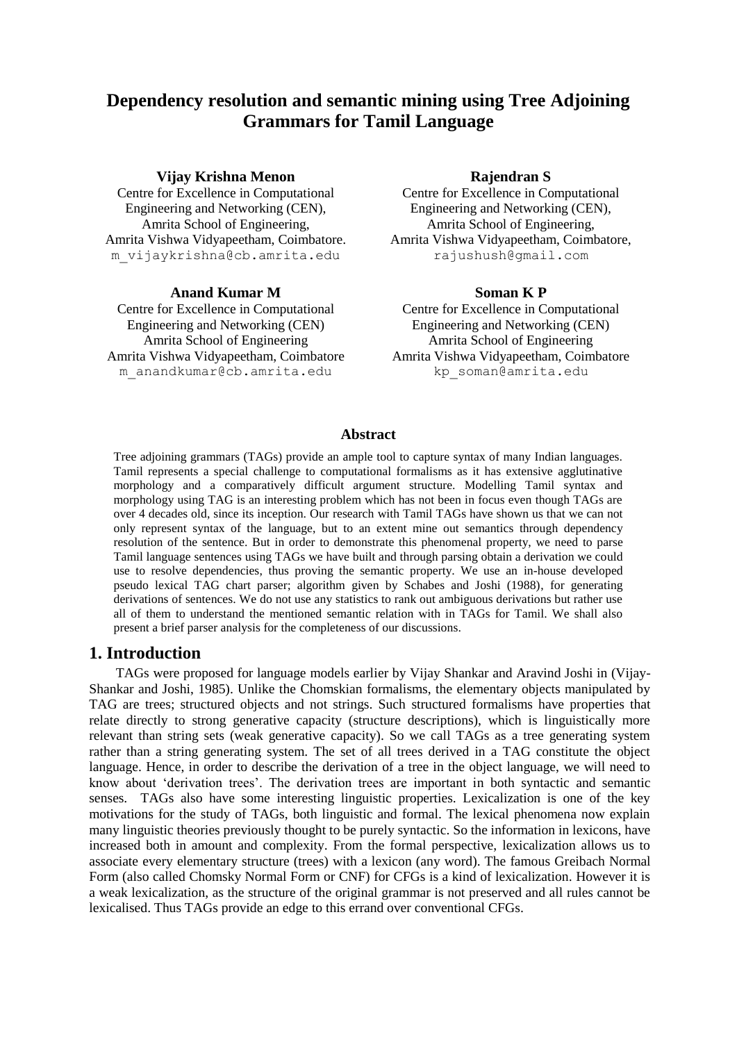## **Dependency resolution and semantic mining using Tree Adjoining Grammars for Tamil Language**

#### **Vijay Krishna Menon Rajendran S**

Centre for Excellence in Computational Engineering and Networking (CEN), m\_vijaykrishna@cb.amrita.edu rajushush@gmail.com

#### **Anand Kumar M Soman K P**

Centre for Excellence in Computational Engineering and Networking (CEN) Amrita Vishwa Vidyapeetham, Coimbatore Amrita Vishwa Vidyapeetham, Coimbatore m\_anandkumar@cb.amrita.edu kp\_soman@amrita.edu

Centre for Excellence in Computational Engineering and Networking (CEN), Amrita School of Engineering, Amrita School of Engineering, Amrita Vishwa Vidyapeetham, Coimbatore. Amrita Vishwa Vidyapeetham, Coimbatore,

Centre for Excellence in Computational Engineering and Networking (CEN) Amrita School of Engineering Amrita School of Engineering

#### **Abstract**

Tree adjoining grammars (TAGs) provide an ample tool to capture syntax of many Indian languages. Tamil represents a special challenge to computational formalisms as it has extensive agglutinative morphology and a comparatively difficult argument structure. Modelling Tamil syntax and morphology using TAG is an interesting problem which has not been in focus even though TAGs are over 4 decades old, since its inception. Our research with Tamil TAGs have shown us that we can not only represent syntax of the language, but to an extent mine out semantics through dependency resolution of the sentence. But in order to demonstrate this phenomenal property, we need to parse Tamil language sentences using TAGs we have built and through parsing obtain a derivation we could use to resolve dependencies, thus proving the semantic property. We use an in-house developed pseudo lexical TAG chart parser; algorithm given by Schabes and Joshi (1988), for generating derivations of sentences. We do not use any statistics to rank out ambiguous derivations but rather use all of them to understand the mentioned semantic relation with in TAGs for Tamil. We shall also present a brief parser analysis for the completeness of our discussions.

#### **1. Introduction**

TAGs were proposed for language models earlier by Vijay Shankar and Aravind Joshi in (Vijay-Shankar and Joshi, 1985). Unlike the Chomskian formalisms, the elementary objects manipulated by TAG are trees; structured objects and not strings. Such structured formalisms have properties that relate directly to strong generative capacity (structure descriptions), which is linguistically more relevant than string sets (weak generative capacity). So we call TAGs as a tree generating system rather than a string generating system. The set of all trees derived in a TAG constitute the object language. Hence, in order to describe the derivation of a tree in the object language, we will need to know about 'derivation trees'. The derivation trees are important in both syntactic and semantic senses. TAGs also have some interesting linguistic properties. Lexicalization is one of the key motivations for the study of TAGs, both linguistic and formal. The lexical phenomena now explain many linguistic theories previously thought to be purely syntactic. So the information in lexicons, have increased both in amount and complexity. From the formal perspective, lexicalization allows us to associate every elementary structure (trees) with a lexicon (any word). The famous Greibach Normal Form (also called Chomsky Normal Form or CNF) for CFGs is a kind of lexicalization. However it is a weak lexicalization, as the structure of the original grammar is not preserved and all rules cannot be lexicalised. Thus TAGs provide an edge to this errand over conventional CFGs.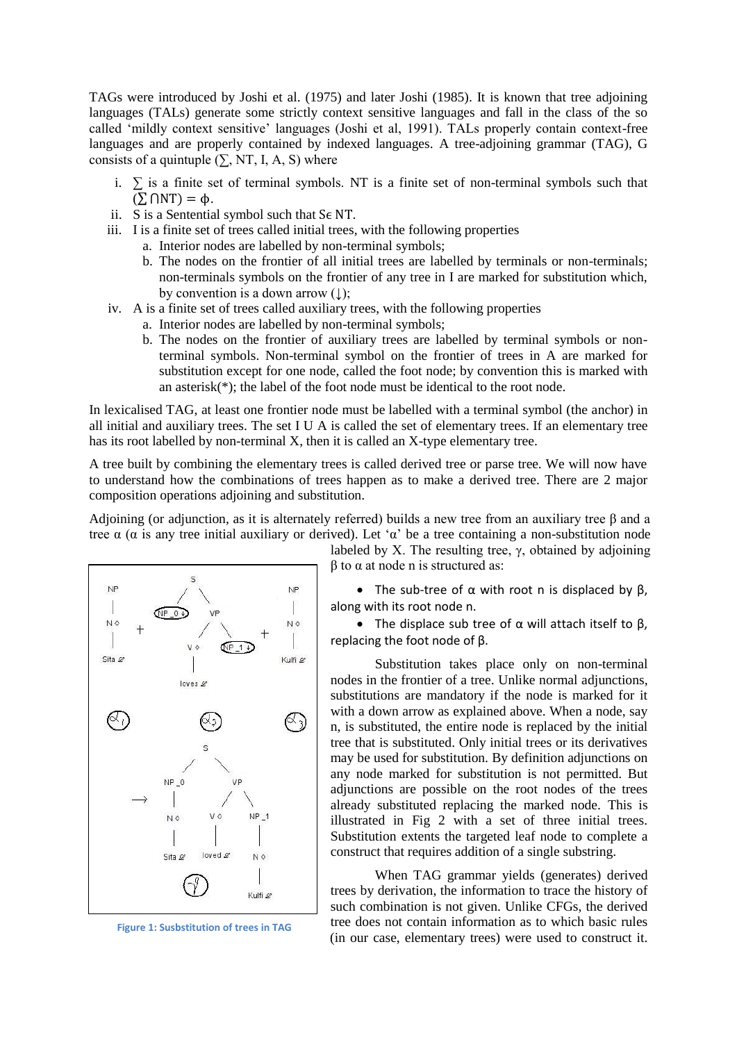TAGs were introduced by Joshi et al. (1975) and later Joshi (1985). It is known that tree adjoining languages (TALs) generate some strictly context sensitive languages and fall in the class of the so called 'mildly context sensitive' languages (Joshi et al, 1991). TALs properly contain context-free languages and are properly contained by indexed languages. A tree-adjoining grammar (TAG), G consists of a quintuple  $(\sum$ , NT, I, A, S) where

- i.  $\Sigma$  is a finite set of terminal symbols. NT is a finite set of non-terminal symbols such that  $(\sum \bigcap \text{NT}) = \varphi$ .
- ii. S is a Sentential symbol such that  $S \in NT$ .
- iii. I is a finite set of trees called initial trees, with the following properties
	- a. Interior nodes are labelled by non-terminal symbols;
	- b. The nodes on the frontier of all initial trees are labelled by terminals or non-terminals; non-terminals symbols on the frontier of any tree in I are marked for substitution which, by convention is a down arrow  $( \downarrow )$ ;
- iv. A is a finite set of trees called auxiliary trees, with the following properties
	- a. Interior nodes are labelled by non-terminal symbols;
	- b. The nodes on the frontier of auxiliary trees are labelled by terminal symbols or nonterminal symbols. Non-terminal symbol on the frontier of trees in A are marked for substitution except for one node, called the foot node; by convention this is marked with an asterisk(\*); the label of the foot node must be identical to the root node.

In lexicalised TAG, at least one frontier node must be labelled with a terminal symbol (the anchor) in all initial and auxiliary trees. The set I U A is called the set of elementary trees. If an elementary tree has its root labelled by non-terminal X, then it is called an X-type elementary tree.

A tree built by combining the elementary trees is called derived tree or parse tree. We will now have to understand how the combinations of trees happen as to make a derived tree. There are 2 major composition operations adjoining and substitution.

Adjoining (or adjunction, as it is alternately referred) builds a new tree from an auxiliary tree β and a tree α (α is any tree initial auxiliary or derived). Let 'α' be a tree containing a non-substitution node



**Figure 1: Susbstitution of trees in TAG**

labeled by X. The resulting tree, γ, obtained by adjoining  $β$  to  $α$  at node n is structured as:

• The sub-tree of  $\alpha$  with root n is displaced by  $\beta$ , along with its root node n.

• The displace sub tree of  $\alpha$  will attach itself to  $\beta$ , replacing the foot node of β.

Substitution takes place only on non-terminal nodes in the frontier of a tree. Unlike normal adjunctions, substitutions are mandatory if the node is marked for it with a down arrow as explained above. When a node, say n, is substituted, the entire node is replaced by the initial tree that is substituted. Only initial trees or its derivatives may be used for substitution. By definition adjunctions on any node marked for substitution is not permitted. But adjunctions are possible on the root nodes of the trees already substituted replacing the marked node. This is illustrated in Fig 2 with a set of three initial trees. Substitution extents the targeted leaf node to complete a construct that requires addition of a single substring.

When TAG grammar yields (generates) derived trees by derivation, the information to trace the history of such combination is not given. Unlike CFGs, the derived tree does not contain information as to which basic rules (in our case, elementary trees) were used to construct it.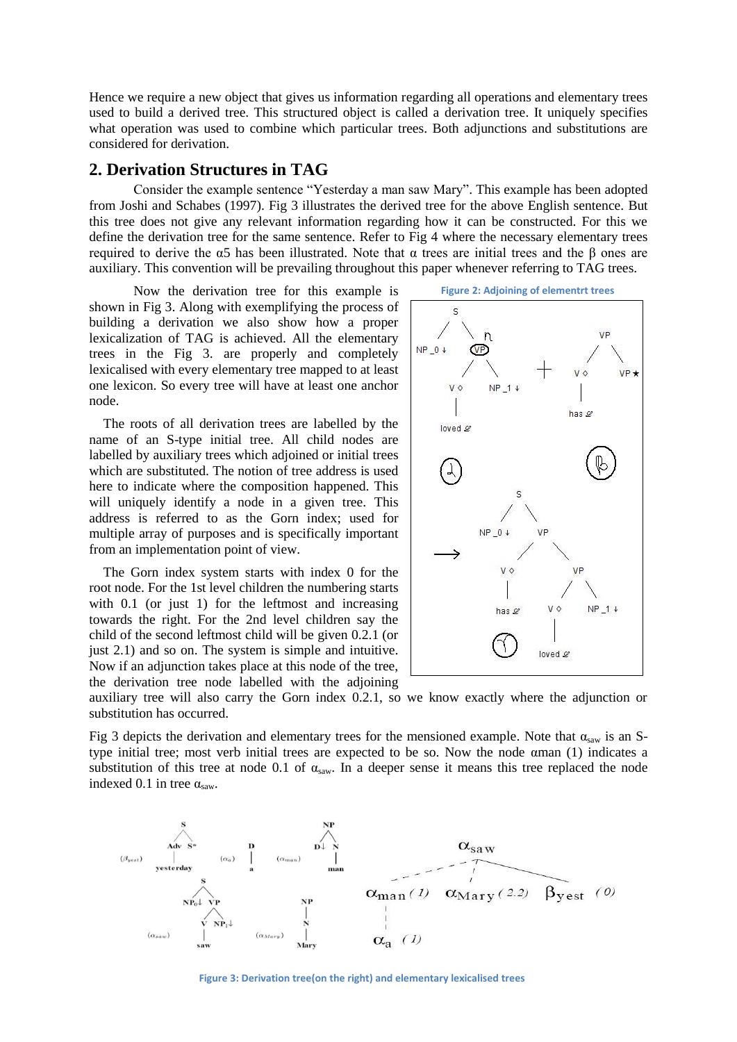Hence we require a new object that gives us information regarding all operations and elementary trees used to build a derived tree. This structured object is called a derivation tree. It uniquely specifies what operation was used to combine which particular trees. Both adjunctions and substitutions are considered for derivation.

#### **2. Derivation Structures in TAG**

Consider the example sentence "Yesterday a man saw Mary". This example has been adopted from Joshi and Schabes (1997). Fig 3 illustrates the derived tree for the above English sentence. But this tree does not give any relevant information regarding how it can be constructed. For this we define the derivation tree for the same sentence. Refer to Fig 4 where the necessary elementary trees required to derive the α5 has been illustrated. Note that α trees are initial trees and the β ones are auxiliary. This convention will be prevailing throughout this paper whenever referring to TAG trees.

Now the derivation tree for this example is shown in Fig 3. Along with exemplifying the process of building a derivation we also show how a proper lexicalization of TAG is achieved. All the elementary trees in the Fig 3. are properly and completely lexicalised with every elementary tree mapped to at least one lexicon. So every tree will have at least one anchor node.

The roots of all derivation trees are labelled by the name of an S-type initial tree. All child nodes are labelled by auxiliary trees which adjoined or initial trees which are substituted. The notion of tree address is used here to indicate where the composition happened. This will uniquely identify a node in a given tree. This address is referred to as the Gorn index; used for multiple array of purposes and is specifically important from an implementation point of view.

The Gorn index system starts with index 0 for the root node. For the 1st level children the numbering starts with 0.1 (or just 1) for the leftmost and increasing towards the right. For the 2nd level children say the child of the second leftmost child will be given 0.2.1 (or just 2.1) and so on. The system is simple and intuitive. Now if an adjunction takes place at this node of the tree, the derivation tree node labelled with the adjoining





auxiliary tree will also carry the Gorn index 0.2.1, so we know exactly where the adjunction or substitution has occurred.

Fig 3 depicts the derivation and elementary trees for the mensioned example. Note that  $\alpha_{saw}$  is an Stype initial tree; most verb initial trees are expected to be so. Now the node αman (1) indicates a substitution of this tree at node 0.1 of  $\alpha_{saw}$ . In a deeper sense it means this tree replaced the node indexed 0.1 in tree  $\alpha_{\text{saw}}$ .



**Figure 3: Derivation tree(on the right) and elementary lexicalised trees**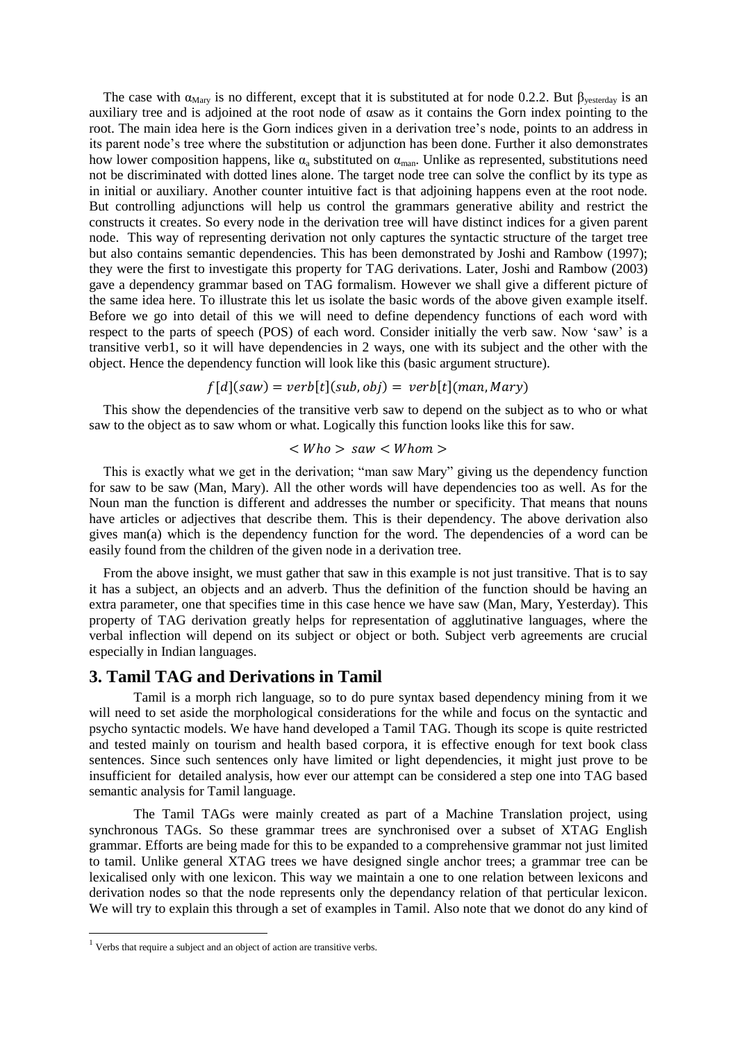The case with  $\alpha_{\text{Marv}}$  is no different, except that it is substituted at for node 0.2.2. But  $\beta_{\text{vesterday}}$  is an auxiliary tree and is adjoined at the root node of αsaw as it contains the Gorn index pointing to the root. The main idea here is the Gorn indices given in a derivation tree's node, points to an address in its parent node's tree where the substitution or adjunction has been done. Further it also demonstrates how lower composition happens, like  $\alpha_a$  substituted on  $\alpha_{\text{man}}$ . Unlike as represented, substitutions need not be discriminated with dotted lines alone. The target node tree can solve the conflict by its type as in initial or auxiliary. Another counter intuitive fact is that adjoining happens even at the root node. But controlling adjunctions will help us control the grammars generative ability and restrict the constructs it creates. So every node in the derivation tree will have distinct indices for a given parent node. This way of representing derivation not only captures the syntactic structure of the target tree but also contains semantic dependencies. This has been demonstrated by Joshi and Rambow (1997); they were the first to investigate this property for TAG derivations. Later, Joshi and Rambow (2003) gave a dependency grammar based on TAG formalism. However we shall give a different picture of the same idea here. To illustrate this let us isolate the basic words of the above given example itself. Before we go into detail of this we will need to define dependency functions of each word with respect to the parts of speech (POS) of each word. Consider initially the verb saw. Now 'saw' is a transitive verb1, so it will have dependencies in 2 ways, one with its subject and the other with the object. Hence the dependency function will look like this (basic argument structure).

$$
f[d](saw) = verb[t](sub, obj) = verb[t](man, Mary)
$$

This show the dependencies of the transitive verb saw to depend on the subject as to who or what saw to the object as to saw whom or what. Logically this function looks like this for saw.

This is exactly what we get in the derivation; "man saw Mary" giving us the dependency function for saw to be saw (Man, Mary). All the other words will have dependencies too as well. As for the Noun man the function is different and addresses the number or specificity. That means that nouns have articles or adjectives that describe them. This is their dependency. The above derivation also gives man(a) which is the dependency function for the word. The dependencies of a word can be easily found from the children of the given node in a derivation tree.

From the above insight, we must gather that saw in this example is not just transitive. That is to say it has a subject, an objects and an adverb. Thus the definition of the function should be having an extra parameter, one that specifies time in this case hence we have saw (Man, Mary, Yesterday). This property of TAG derivation greatly helps for representation of agglutinative languages, where the verbal inflection will depend on its subject or object or both. Subject verb agreements are crucial especially in Indian languages.

### **3. Tamil TAG and Derivations in Tamil**

Tamil is a morph rich language, so to do pure syntax based dependency mining from it we will need to set aside the morphological considerations for the while and focus on the syntactic and psycho syntactic models. We have hand developed a Tamil TAG. Though its scope is quite restricted and tested mainly on tourism and health based corpora, it is effective enough for text book class sentences. Since such sentences only have limited or light dependencies, it might just prove to be insufficient for detailed analysis, how ever our attempt can be considered a step one into TAG based semantic analysis for Tamil language.

The Tamil TAGs were mainly created as part of a Machine Translation project, using synchronous TAGs. So these grammar trees are synchronised over a subset of XTAG English grammar. Efforts are being made for this to be expanded to a comprehensive grammar not just limited to tamil. Unlike general XTAG trees we have designed single anchor trees; a grammar tree can be lexicalised only with one lexicon. This way we maintain a one to one relation between lexicons and derivation nodes so that the node represents only the dependancy relation of that perticular lexicon. We will try to explain this through a set of examples in Tamil. Also note that we donot do any kind of

**.** 

<sup>&</sup>lt;sup>1</sup> Verbs that require a subject and an object of action are transitive verbs.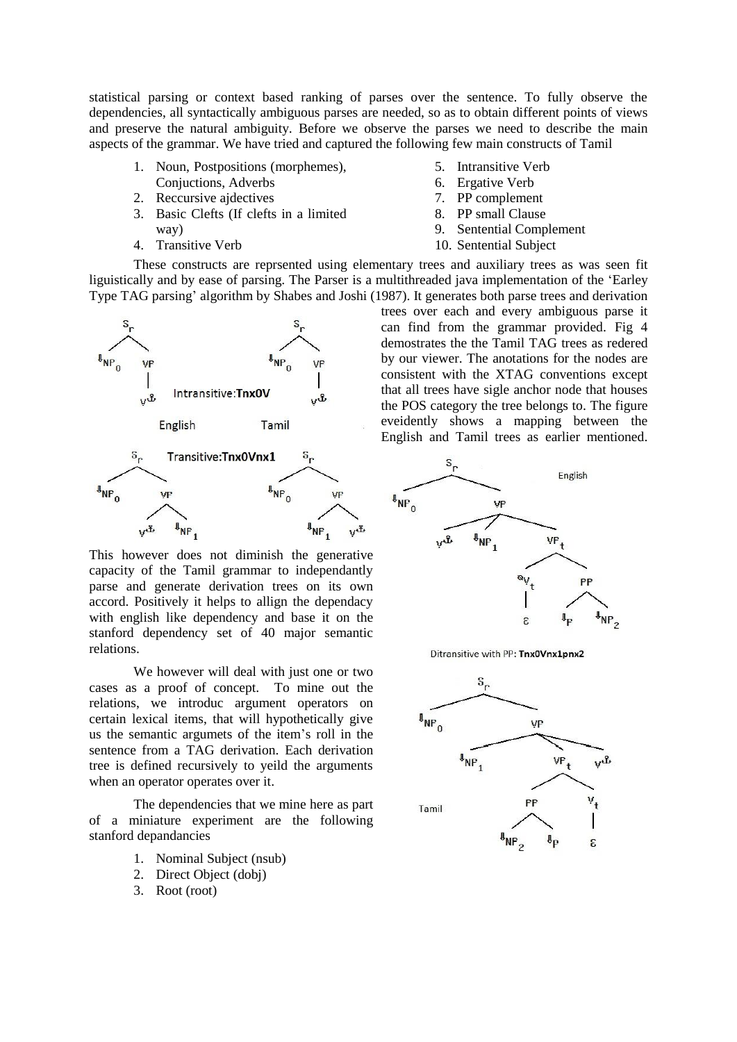statistical parsing or context based ranking of parses over the sentence. To fully observe the dependencies, all syntactically ambiguous parses are needed, so as to obtain different points of views and preserve the natural ambiguity. Before we observe the parses we need to describe the main aspects of the grammar. We have tried and captured the following few main constructs of Tamil

- 1. Noun, Postpositions (morphemes),
- Conjuctions, Adverbs 2. Reccursive ajdectives
- 3. Basic Clefts (If clefts in a limited way)
- 4. Transitive Verb
- 5. Intransitive Verb
- 6. Ergative Verb
- 7. PP complement
- 8. PP small Clause
- 9. Sentential Complement
- 10. Sentential Subject

These constructs are reprsented using elementary trees and auxiliary trees as was seen fit liguistically and by ease of parsing. The Parser is a multithreaded java implementation of the 'Earley Type TAG parsing' algorithm by Shabes and Joshi (1987). It generates both parse trees and derivation



This however does not diminish the generative capacity of the Tamil grammar to independantly parse and generate derivation trees on its own accord. Positively it helps to allign the dependacy with english like dependency and base it on the stanford dependency set of 40 major semantic relations.

We however will deal with just one or two cases as a proof of concept. To mine out the relations, we introduc argument operators on certain lexical items, that will hypothetically give us the semantic argumets of the item's roll in the sentence from a TAG derivation. Each derivation tree is defined recursively to yeild the arguments when an operator operates over it.

The dependencies that we mine here as part of a miniature experiment are the following stanford depandancies

- 1. Nominal Subject (nsub)
- 2. Direct Object (dobj)
- 3. Root (root)

trees over each and every ambiguous parse it can find from the grammar provided. Fig 4 demostrates the the Tamil TAG trees as redered by our viewer. The anotations for the nodes are consistent with the XTAG conventions except that all trees have sigle anchor node that houses the POS category the tree belongs to. The figure eveidently shows a mapping between the English and Tamil trees as earlier mentioned.



Ditransitive with PP: Tnx0Vnx1pnx2

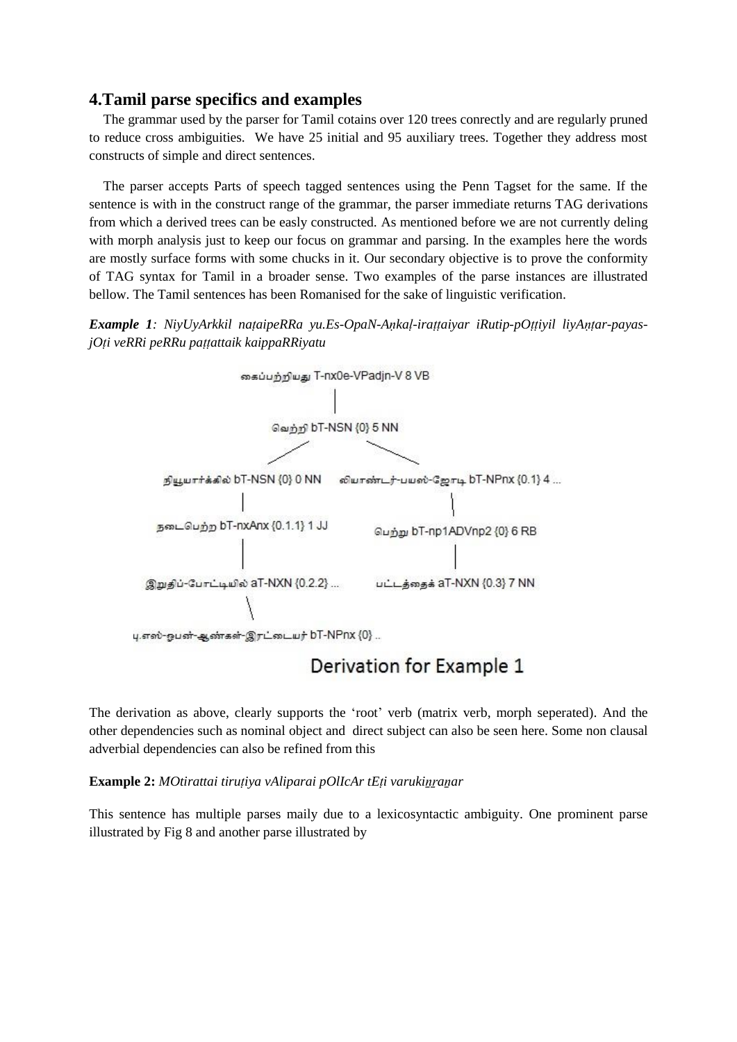### **4.Tamil parse specifics and examples**

The grammar used by the parser for Tamil cotains over 120 trees conrectly and are regularly pruned to reduce cross ambiguities. We have 25 initial and 95 auxiliary trees. Together they address most constructs of simple and direct sentences.

The parser accepts Parts of speech tagged sentences using the Penn Tagset for the same. If the sentence is with in the construct range of the grammar, the parser immediate returns TAG derivations from which a derived trees can be easly constructed. As mentioned before we are not currently deling with morph analysis just to keep our focus on grammar and parsing. In the examples here the words are mostly surface forms with some chucks in it. Our secondary objective is to prove the conformity of TAG syntax for Tamil in a broader sense. Two examples of the parse instances are illustrated bellow. The Tamil sentences has been Romanised for the sake of linguistic verification.





# Derivation for Example 1

The derivation as above, clearly supports the 'root' verb (matrix verb, morph seperated). And the other dependencies such as nominal object and direct subject can also be seen here. Some non clausal adverbial dependencies can also be refined from this

**Example 2:** *MOtirattai tiruṭiya vAliparai pOlIcAr tEṭi varukiṉṟaṉar*

This sentence has multiple parses maily due to a lexicosyntactic ambiguity. One prominent parse illustrated by Fig 8 and another parse illustrated by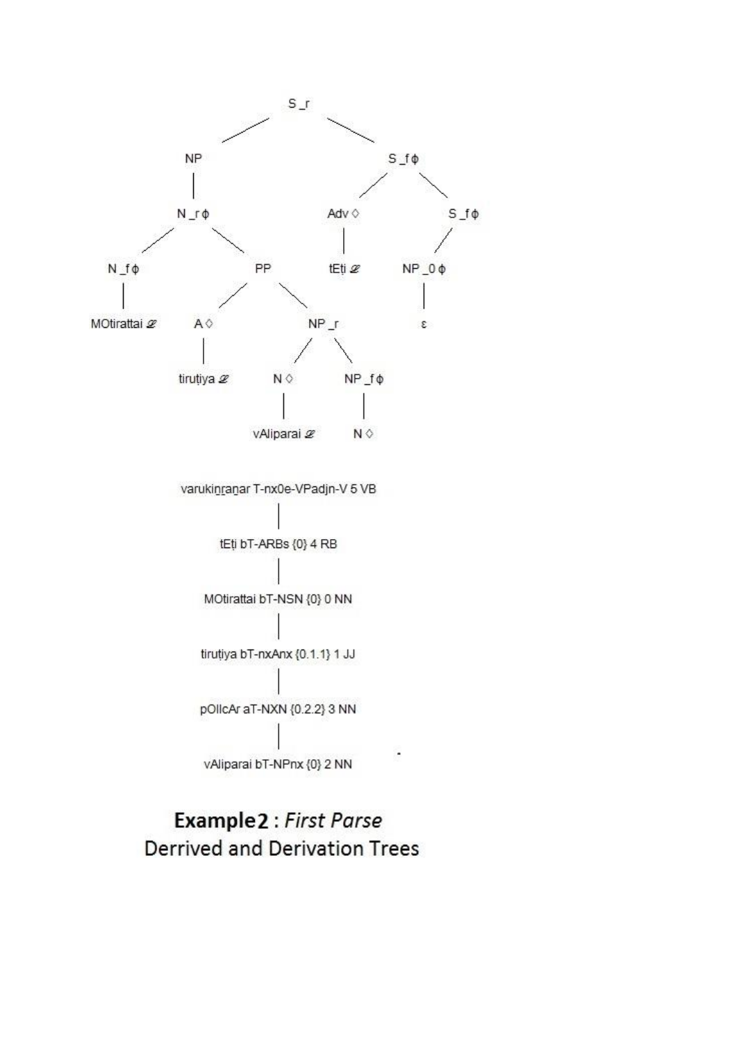

# Example 2 : First Parse **Derrived and Derivation Trees**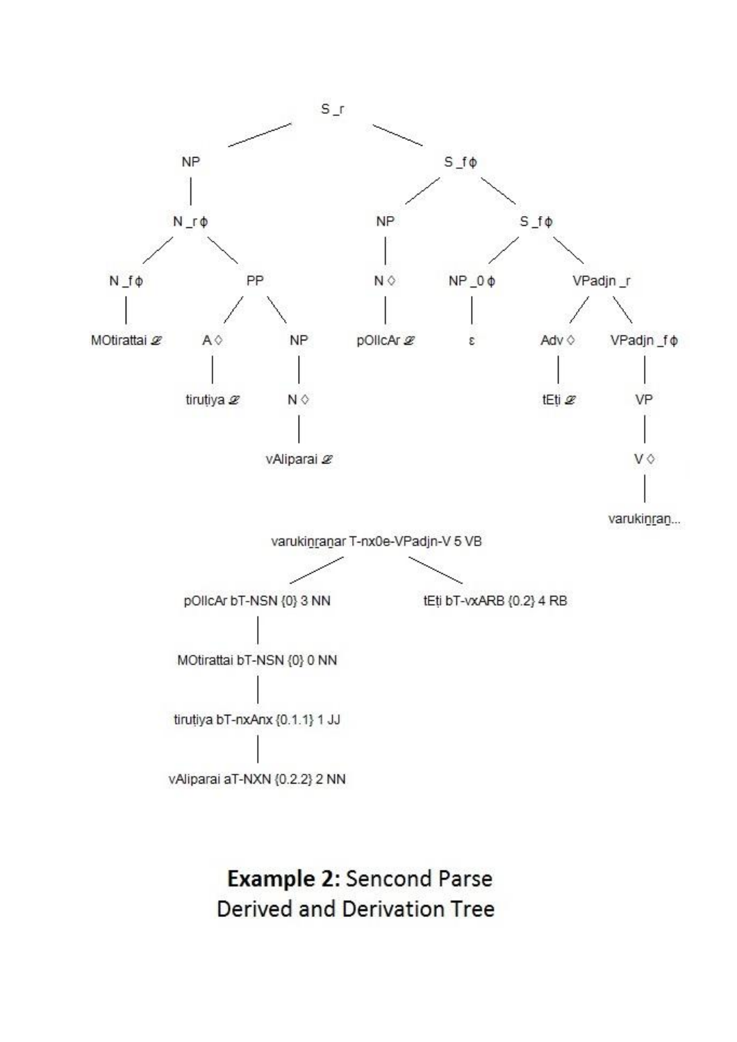

**Example 2: Sencond Parse Derived and Derivation Tree**